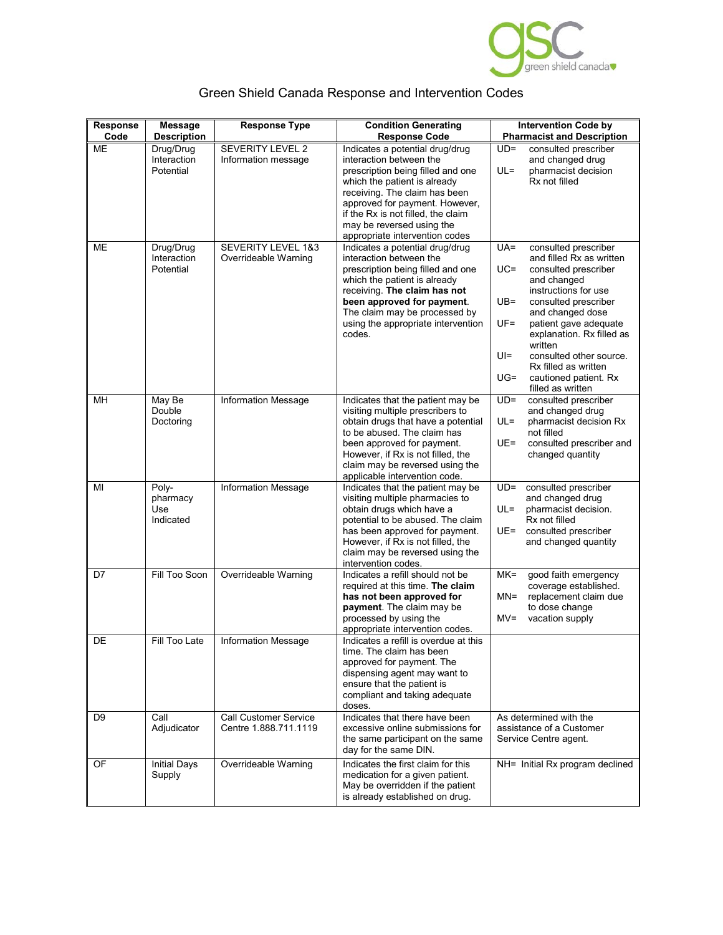

|  |  |  | Green Shield Canada Response and Intervention Codes |  |
|--|--|--|-----------------------------------------------------|--|
|--|--|--|-----------------------------------------------------|--|

| Response<br>Code | <b>Message</b><br><b>Description</b>  | <b>Response Type</b>                                  | <b>Condition Generating</b><br><b>Response Code</b>                                                                                                                                                                                                                                                     | <b>Intervention Code by</b><br><b>Pharmacist and Description</b>                                                                                                                                                                                                                                                                                                                         |
|------------------|---------------------------------------|-------------------------------------------------------|---------------------------------------------------------------------------------------------------------------------------------------------------------------------------------------------------------------------------------------------------------------------------------------------------------|------------------------------------------------------------------------------------------------------------------------------------------------------------------------------------------------------------------------------------------------------------------------------------------------------------------------------------------------------------------------------------------|
| ME               | Drug/Drug<br>Interaction<br>Potential | <b>SEVERITY LEVEL 2</b><br>Information message        | Indicates a potential drug/drug<br>interaction between the<br>prescription being filled and one<br>which the patient is already<br>receiving. The claim has been<br>approved for payment. However,<br>if the Rx is not filled, the claim<br>may be reversed using the<br>appropriate intervention codes | $UD =$<br>consulted prescriber<br>and changed drug<br>pharmacist decision<br>$UL =$<br>Rx not filled                                                                                                                                                                                                                                                                                     |
| ME               | Drug/Drug<br>Interaction<br>Potential | <b>SEVERITY LEVEL 1&amp;3</b><br>Overrideable Warning | Indicates a potential drug/drug<br>interaction between the<br>prescription being filled and one<br>which the patient is already<br>receiving. The claim has not<br>been approved for payment.<br>The claim may be processed by<br>using the appropriate intervention<br>codes.                          | $UA =$<br>consulted prescriber<br>and filled Rx as written<br>$UC =$<br>consulted prescriber<br>and changed<br>instructions for use<br>consulted prescriber<br>$UB =$<br>and changed dose<br>$UF =$<br>patient gave adequate<br>explanation. Rx filled as<br>written<br>$UI =$<br>consulted other source.<br>Rx filled as written<br>$UG=$<br>cautioned patient. Rx<br>filled as written |
| MН               | May Be<br>Double<br>Doctoring         | Information Message                                   | Indicates that the patient may be<br>visiting multiple prescribers to<br>obtain drugs that have a potential<br>to be abused. The claim has<br>been approved for payment.<br>However, if Rx is not filled, the<br>claim may be reversed using the<br>applicable intervention code.                       | consulted prescriber<br>$UD =$<br>and changed drug<br>pharmacist decision Rx<br>$UL =$<br>not filled<br>UE=<br>consulted prescriber and<br>changed quantity                                                                                                                                                                                                                              |
| MI               | Poly-<br>pharmacy<br>Use<br>Indicated | <b>Information Message</b>                            | Indicates that the patient may be<br>visiting multiple pharmacies to<br>obtain drugs which have a<br>potential to be abused. The claim<br>has been approved for payment.<br>However, if Rx is not filled, the<br>claim may be reversed using the<br>intervention codes.                                 | $UD =$<br>consulted prescriber<br>and changed drug<br>$UL =$<br>pharmacist decision.<br>Rx not filled<br>UE=<br>consulted prescriber<br>and changed quantity                                                                                                                                                                                                                             |
| D7               | Fill Too Soon                         | Overrideable Warning                                  | Indicates a refill should not be<br>required at this time. The claim<br>has not been approved for<br>payment. The claim may be<br>processed by using the<br>appropriate intervention codes.                                                                                                             | $MK=$<br>good faith emergency<br>coverage established.<br>$MN =$<br>replacement claim due<br>to dose change<br>$MV =$<br>vacation supply                                                                                                                                                                                                                                                 |
| DE               | Fill Too Late                         | <b>Information Message</b>                            | Indicates a refill is overdue at this<br>time. The claim has been<br>approved for payment. The<br>dispensing agent may want to<br>ensure that the patient is<br>compliant and taking adequate<br>doses.                                                                                                 |                                                                                                                                                                                                                                                                                                                                                                                          |
| D <sub>9</sub>   | Call<br>Adjudicator                   | <b>Call Customer Service</b><br>Centre 1.888.711.1119 | Indicates that there have been<br>excessive online submissions for<br>the same participant on the same<br>day for the same DIN.                                                                                                                                                                         | As determined with the<br>assistance of a Customer<br>Service Centre agent.                                                                                                                                                                                                                                                                                                              |
| OF               | <b>Initial Days</b><br>Supply         | Overrideable Warning                                  | Indicates the first claim for this<br>medication for a given patient.<br>May be overridden if the patient<br>is already established on drug.                                                                                                                                                            | NH= Initial Rx program declined                                                                                                                                                                                                                                                                                                                                                          |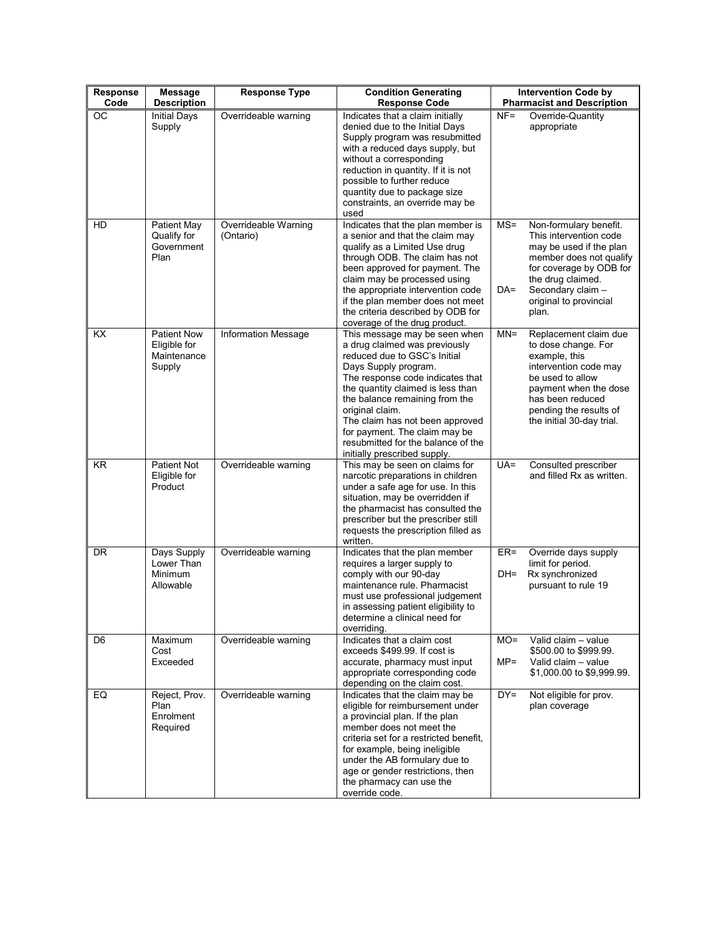| Response<br>Code | <b>Message</b><br><b>Description</b>                        | <b>Response Type</b>              | <b>Condition Generating</b><br><b>Response Code</b>                                                                                                                                                                                                                                                                                                                                            |                 | <b>Intervention Code by</b><br><b>Pharmacist and Description</b>                                                                                                                                               |
|------------------|-------------------------------------------------------------|-----------------------------------|------------------------------------------------------------------------------------------------------------------------------------------------------------------------------------------------------------------------------------------------------------------------------------------------------------------------------------------------------------------------------------------------|-----------------|----------------------------------------------------------------------------------------------------------------------------------------------------------------------------------------------------------------|
| <b>OC</b>        | <b>Initial Days</b><br>Supply                               | Overrideable warning              | Indicates that a claim initially<br>denied due to the Initial Days<br>Supply program was resubmitted<br>with a reduced days supply, but<br>without a corresponding<br>reduction in quantity. If it is not<br>possible to further reduce<br>quantity due to package size<br>constraints, an override may be<br>used                                                                             | $NF =$          | Override-Quantity<br>appropriate                                                                                                                                                                               |
| HD               | <b>Patient May</b><br>Qualify for<br>Government<br>Plan     | Overrideable Warning<br>(Ontario) | Indicates that the plan member is<br>a senior and that the claim may<br>qualify as a Limited Use drug<br>through ODB. The claim has not<br>been approved for payment. The<br>claim may be processed using<br>the appropriate intervention code<br>if the plan member does not meet<br>the criteria described by ODB for<br>coverage of the drug product.                                       | $MS =$<br>DA=   | Non-formulary benefit.<br>This intervention code<br>may be used if the plan<br>member does not qualify<br>for coverage by ODB for<br>the drug claimed.<br>Secondary claim -<br>original to provincial<br>plan. |
| KX               | <b>Patient Now</b><br>Eligible for<br>Maintenance<br>Supply | Information Message               | This message may be seen when<br>a drug claimed was previously<br>reduced due to GSC's Initial<br>Days Supply program.<br>The response code indicates that<br>the quantity claimed is less than<br>the balance remaining from the<br>original claim.<br>The claim has not been approved<br>for payment. The claim may be<br>resubmitted for the balance of the<br>initially prescribed supply. | $MN =$          | Replacement claim due<br>to dose change. For<br>example, this<br>intervention code may<br>be used to allow<br>payment when the dose<br>has been reduced<br>pending the results of<br>the initial 30-day trial. |
| KR.              | <b>Patient Not</b><br>Eligible for<br>Product               | Overrideable warning              | This may be seen on claims for<br>narcotic preparations in children<br>under a safe age for use. In this<br>situation, may be overridden if<br>the pharmacist has consulted the<br>prescriber but the prescriber still<br>requests the prescription filled as<br>written.                                                                                                                      | $UA =$          | Consulted prescriber<br>and filled Rx as written.                                                                                                                                                              |
| DR               | Days Supply<br>Lower Than<br>Minimum<br>Allowable           | Overrideable warning              | Indicates that the plan member<br>requires a larger supply to<br>comply with our 90-day<br>maintenance rule. Pharmacist<br>must use professional judgement<br>in assessing patient eligibility to<br>determine a clinical need for<br>overriding.                                                                                                                                              | $ER =$<br>DH=   | Override days supply<br>limit for period.<br>Rx synchronized<br>pursuant to rule 19                                                                                                                            |
| D <sub>6</sub>   | Maximum<br>Cost<br>Exceeded                                 | Overrideable warning              | Indicates that a claim cost<br>exceeds \$499.99. If cost is<br>accurate, pharmacy must input<br>appropriate corresponding code<br>depending on the claim cost.                                                                                                                                                                                                                                 | $MO=$<br>$MP =$ | Valid claim - value<br>\$500.00 to \$999.99.<br>Valid claim - value<br>\$1,000.00 to \$9,999.99.                                                                                                               |
| EQ               | Reject, Prov.<br>Plan<br>Enrolment<br>Required              | Overrideable warning              | Indicates that the claim may be<br>eligible for reimbursement under<br>a provincial plan. If the plan<br>member does not meet the<br>criteria set for a restricted benefit.<br>for example, being ineligible<br>under the AB formulary due to<br>age or gender restrictions, then<br>the pharmacy can use the<br>override code.                                                                | $DY=$           | Not eligible for prov.<br>plan coverage                                                                                                                                                                        |